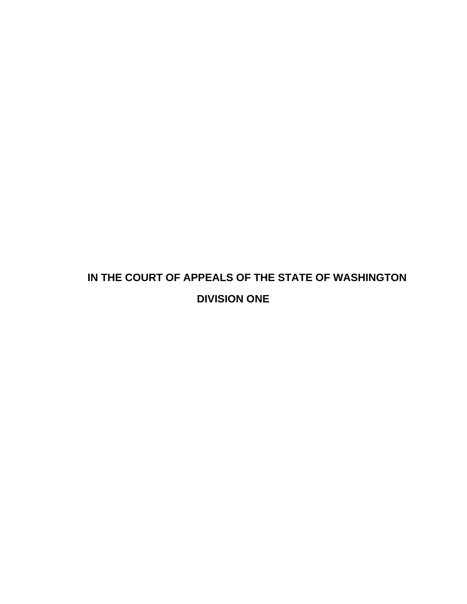# **IN THE COURT OF APPEALS OF THE STATE OF WASHINGTON DIVISION ONE**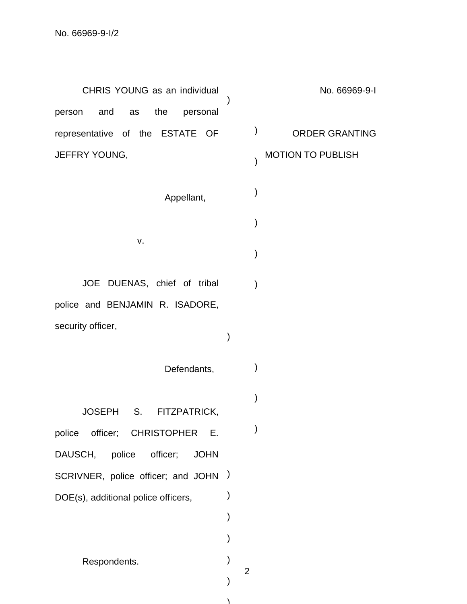CHRIS YOUNG as an individual person and as the personal representative of the ESTATE OF JEFFRY YOUNG, )

Appellant,

JOE DUENAS, chief of tribal police and BENJAMIN R. ISADORE, security officer,

v.

Defendants, )

)

JOSEPH S. FITZPATRICK,

police officer; CHRISTOPHER E. DAUSCH, police officer; JOHN SCRIVNER, police officer; and JOHN ) DOE(s), additional police officers, )

Respondents.

No. 66969-9-I

ORDER GRANTING

## MOTION TO PUBLISH

 $\left( \right)$ 

)

)

)

)

)

)

)

)

)

)

)

)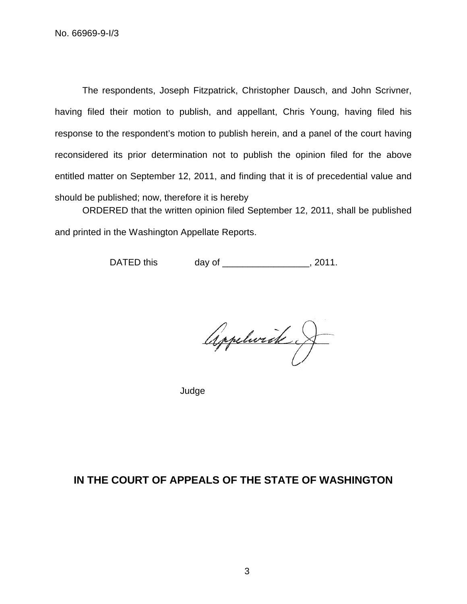The respondents, Joseph Fitzpatrick, Christopher Dausch, and John Scrivner, having filed their motion to publish, and appellant, Chris Young, having filed his response to the respondent's motion to publish herein, and a panel of the court having reconsidered its prior determination not to publish the opinion filed for the above entitled matter on September 12, 2011, and finding that it is of precedential value and should be published; now, therefore it is hereby

ORDERED that the written opinion filed September 12, 2011, shall be published and printed in the Washington Appellate Reports.

DATED this day of \_\_\_\_\_\_\_\_\_\_\_\_\_\_\_, 2011.

Appelvick J

Judge

# **IN THE COURT OF APPEALS OF THE STATE OF WASHINGTON**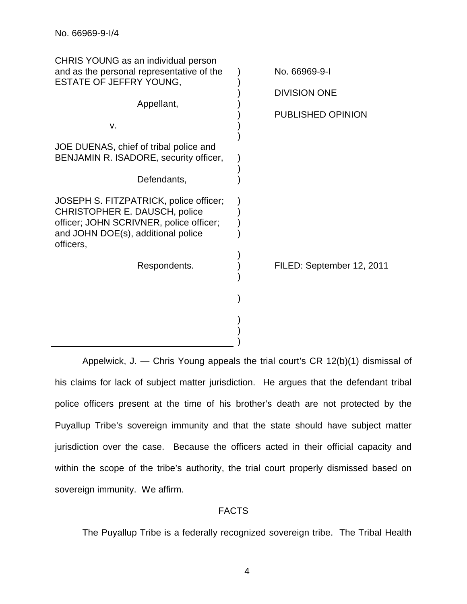| CHRIS YOUNG as an individual person<br>and as the personal representative of the<br><b>ESTATE OF JEFFRY YOUNG,</b>                                                    | No. 66969-9-1<br><b>DIVISION ONE</b> |
|-----------------------------------------------------------------------------------------------------------------------------------------------------------------------|--------------------------------------|
| Appellant,<br>v.                                                                                                                                                      | PUBLISHED OPINION                    |
| JOE DUENAS, chief of tribal police and<br>BENJAMIN R. ISADORE, security officer,<br>Defendants,                                                                       |                                      |
| JOSEPH S. FITZPATRICK, police officer;<br>CHRISTOPHER E. DAUSCH, police<br>officer; JOHN SCRIVNER, police officer;<br>and JOHN DOE(s), additional police<br>officers, |                                      |
| Respondents.                                                                                                                                                          | FILED: September 12, 2011            |
|                                                                                                                                                                       |                                      |

Appelwick, J. — Chris Young appeals the trial court's CR 12(b)(1) dismissal of his claims for lack of subject matter jurisdiction. He argues that the defendant tribal police officers present at the time of his brother's death are not protected by the Puyallup Tribe's sovereign immunity and that the state should have subject matter jurisdiction over the case. Because the officers acted in their official capacity and within the scope of the tribe's authority, the trial court properly dismissed based on sovereign immunity. We affirm.

# FACTS

The Puyallup Tribe is a federally recognized sovereign tribe. The Tribal Health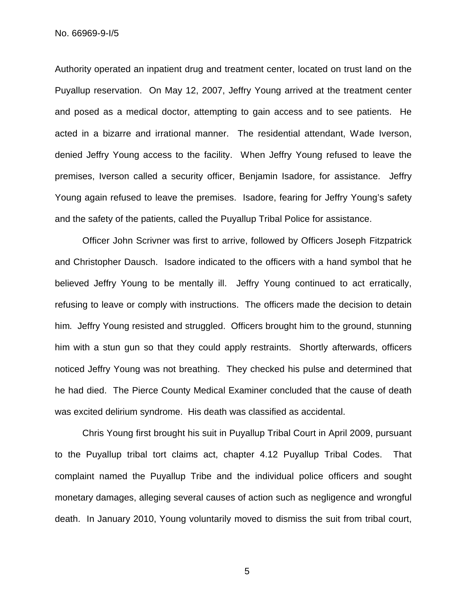No. 66969-9-I/5

Authority operated an inpatient drug and treatment center, located on trust land on the Puyallup reservation. On May 12, 2007, Jeffry Young arrived at the treatment center and posed as a medical doctor, attempting to gain access and to see patients. He acted in a bizarre and irrational manner. The residential attendant, Wade Iverson, denied Jeffry Young access to the facility. When Jeffry Young refused to leave the premises, Iverson called a security officer, Benjamin Isadore, for assistance. Jeffry Young again refused to leave the premises. Isadore, fearing for Jeffry Young's safety and the safety of the patients, called the Puyallup Tribal Police for assistance.

Officer John Scrivner was first to arrive, followed by Officers Joseph Fitzpatrick and Christopher Dausch. Isadore indicated to the officers with a hand symbol that he believed Jeffry Young to be mentally ill. Jeffry Young continued to act erratically, refusing to leave or comply with instructions. The officers made the decision to detain him. Jeffry Young resisted and struggled. Officers brought him to the ground, stunning him with a stun gun so that they could apply restraints. Shortly afterwards, officers noticed Jeffry Young was not breathing. They checked his pulse and determined that he had died. The Pierce County Medical Examiner concluded that the cause of death was excited delirium syndrome. His death was classified as accidental.

Chris Young first brought his suit in Puyallup Tribal Court in April 2009, pursuant to the Puyallup tribal tort claims act, chapter 4.12 Puyallup Tribal Codes. That complaint named the Puyallup Tribe and the individual police officers and sought monetary damages, alleging several causes of action such as negligence and wrongful death. In January 2010, Young voluntarily moved to dismiss the suit from tribal court,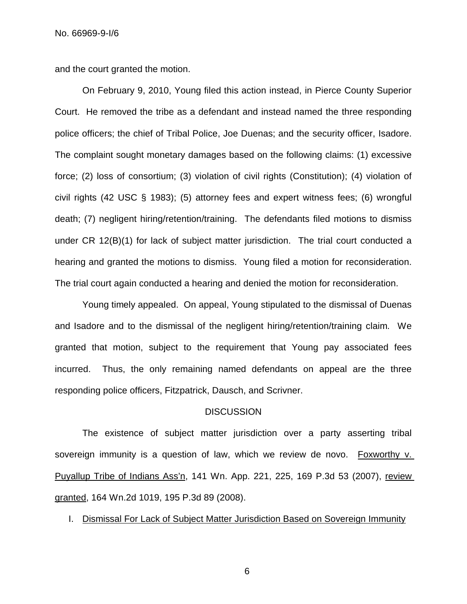and the court granted the motion.

On February 9, 2010, Young filed this action instead, in Pierce County Superior Court. He removed the tribe as a defendant and instead named the three responding police officers; the chief of Tribal Police, Joe Duenas; and the security officer, Isadore. The complaint sought monetary damages based on the following claims: (1) excessive force; (2) loss of consortium; (3) violation of civil rights (Constitution); (4) violation of civil rights (42 USC § 1983); (5) attorney fees and expert witness fees; (6) wrongful death; (7) negligent hiring/retention/training. The defendants filed motions to dismiss under CR 12(B)(1) for lack of subject matter jurisdiction. The trial court conducted a hearing and granted the motions to dismiss. Young filed a motion for reconsideration. The trial court again conducted a hearing and denied the motion for reconsideration.

Young timely appealed. On appeal, Young stipulated to the dismissal of Duenas and Isadore and to the dismissal of the negligent hiring/retention/training claim. We granted that motion, subject to the requirement that Young pay associated fees incurred. Thus, the only remaining named defendants on appeal are the three responding police officers, Fitzpatrick, Dausch, and Scrivner.

## **DISCUSSION**

The existence of subject matter jurisdiction over a party asserting tribal sovereign immunity is a question of law, which we review de novo. Foxworthy v. Puyallup Tribe of Indians Ass'n, 141 Wn. App. 221, 225, 169 P.3d 53 (2007), review granted, 164 Wn.2d 1019, 195 P.3d 89 (2008).

I. Dismissal For Lack of Subject Matter Jurisdiction Based on Sovereign Immunity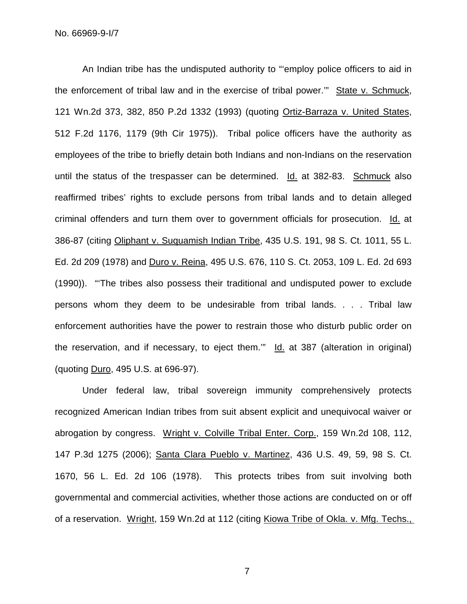No. 66969-9-I/7

An Indian tribe has the undisputed authority to "'employ police officers to aid in the enforcement of tribal law and in the exercise of tribal power.'" State v. Schmuck, 121 Wn.2d 373, 382, 850 P.2d 1332 (1993) (quoting Ortiz-Barraza v. United States, 512 F.2d 1176, 1179 (9th Cir 1975)). Tribal police officers have the authority as employees of the tribe to briefly detain both Indians and non-Indians on the reservation until the status of the trespasser can be determined. Id. at 382-83. Schmuck also reaffirmed tribes' rights to exclude persons from tribal lands and to detain alleged criminal offenders and turn them over to government officials for prosecution. Id. at 386-87 (citing Oliphant v. Suquamish Indian Tribe, 435 U.S. 191, 98 S. Ct. 1011, 55 L. Ed. 2d 209 (1978) and Duro v. Reina, 495 U.S. 676, 110 S. Ct. 2053, 109 L. Ed. 2d 693 (1990)). "'The tribes also possess their traditional and undisputed power to exclude persons whom they deem to be undesirable from tribal lands. . . . Tribal law enforcement authorities have the power to restrain those who disturb public order on the reservation, and if necessary, to eject them." Id. at 387 (alteration in original) (quoting Duro, 495 U.S. at 696-97).

Under federal law, tribal sovereign immunity comprehensively protects recognized American Indian tribes from suit absent explicit and unequivocal waiver or abrogation by congress. Wright v. Colville Tribal Enter. Corp., 159 Wn.2d 108, 112, 147 P.3d 1275 (2006); Santa Clara Pueblo v. Martinez, 436 U.S. 49, 59, 98 S. Ct. 1670, 56 L. Ed. 2d 106 (1978). This protects tribes from suit involving both governmental and commercial activities, whether those actions are conducted on or off of a reservation. Wright, 159 Wn.2d at 112 (citing Kiowa Tribe of Okla. v. Mfg. Techs.,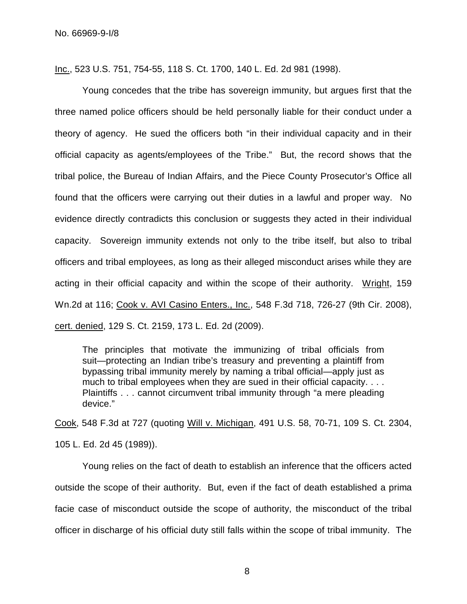Inc., 523 U.S. 751, 754-55, 118 S. Ct. 1700, 140 L. Ed. 2d 981 (1998).

Young concedes that the tribe has sovereign immunity, but argues first that the three named police officers should be held personally liable for their conduct under a theory of agency. He sued the officers both "in their individual capacity and in their official capacity as agents/employees of the Tribe." But, the record shows that the tribal police, the Bureau of Indian Affairs, and the Piece County Prosecutor's Office all found that the officers were carrying out their duties in a lawful and proper way. No evidence directly contradicts this conclusion or suggests they acted in their individual capacity. Sovereign immunity extends not only to the tribe itself, but also to tribal officers and tribal employees, as long as their alleged misconduct arises while they are acting in their official capacity and within the scope of their authority. Wright, 159 Wn.2d at 116; Cook v. AVI Casino Enters., Inc., 548 F.3d 718, 726-27 (9th Cir. 2008), cert. denied, 129 S. Ct. 2159, 173 L. Ed. 2d (2009).

The principles that motivate the immunizing of tribal officials from suit—protecting an Indian tribe's treasury and preventing a plaintiff from bypassing tribal immunity merely by naming a tribal official—apply just as much to tribal employees when they are sued in their official capacity. . . . Plaintiffs . . . cannot circumvent tribal immunity through "a mere pleading device."

Cook, 548 F.3d at 727 (quoting Will v. Michigan, 491 U.S. 58, 70-71, 109 S. Ct. 2304, 105 L. Ed. 2d 45 (1989)).

Young relies on the fact of death to establish an inference that the officers acted outside the scope of their authority. But, even if the fact of death established a prima facie case of misconduct outside the scope of authority, the misconduct of the tribal officer in discharge of his official duty still falls within the scope of tribal immunity. The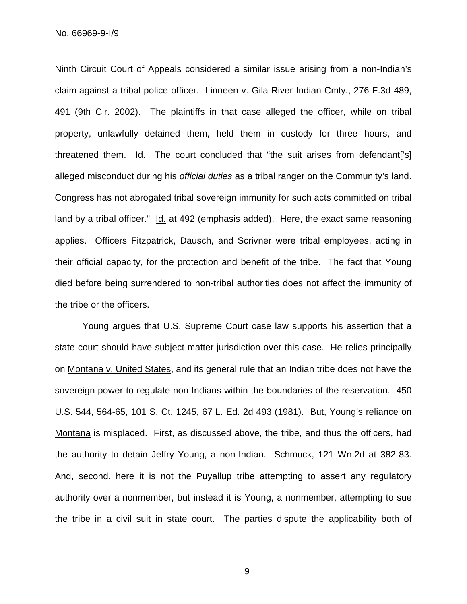Ninth Circuit Court of Appeals considered a similar issue arising from a non-Indian's claim against a tribal police officer. Linneen v. Gila River Indian Cmty., 276 F.3d 489, 491 (9th Cir. 2002). The plaintiffs in that case alleged the officer, while on tribal property, unlawfully detained them, held them in custody for three hours, and threatened them. Id. The court concluded that "the suit arises from defendant['s] alleged misconduct during his *official duties* as a tribal ranger on the Community's land. Congress has not abrogated tribal sovereign immunity for such acts committed on tribal land by a tribal officer." Id. at 492 (emphasis added). Here, the exact same reasoning applies. Officers Fitzpatrick, Dausch, and Scrivner were tribal employees, acting in their official capacity, for the protection and benefit of the tribe. The fact that Young died before being surrendered to non-tribal authorities does not affect the immunity of the tribe or the officers.

Young argues that U.S. Supreme Court case law supports his assertion that a state court should have subject matter jurisdiction over this case. He relies principally on Montana v. United States, and its general rule that an Indian tribe does not have the sovereign power to regulate non-Indians within the boundaries of the reservation. 450 U.S. 544, 564-65, 101 S. Ct. 1245, 67 L. Ed. 2d 493 (1981). But, Young's reliance on Montana is misplaced. First, as discussed above, the tribe, and thus the officers, had the authority to detain Jeffry Young, a non-Indian. Schmuck, 121 Wn.2d at 382-83. And, second, here it is not the Puyallup tribe attempting to assert any regulatory authority over a nonmember, but instead it is Young, a nonmember, attempting to sue the tribe in a civil suit in state court. The parties dispute the applicability both of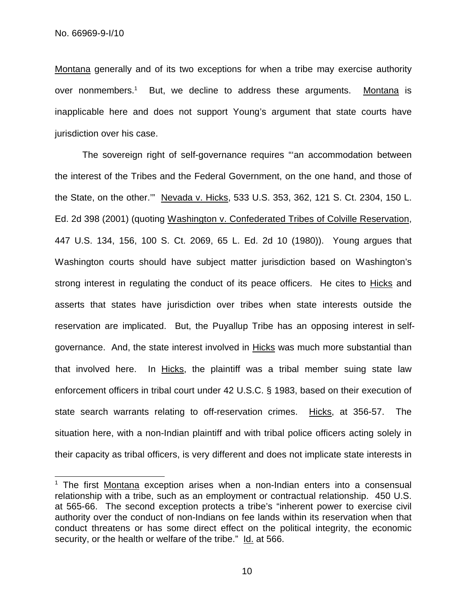Montana generally and of its two exceptions for when a tribe may exercise authority over nonmembers.<sup>1</sup> But, we decline to address these arguments. Montana is inapplicable here and does not support Young's argument that state courts have jurisdiction over his case.

The sovereign right of self-governance requires "'an accommodation between the interest of the Tribes and the Federal Government, on the one hand, and those of the State, on the other.'" Nevada v. Hicks, 533 U.S. 353, 362, 121 S. Ct. 2304, 150 L. Ed. 2d 398 (2001) (quoting Washington v. Confederated Tribes of Colville Reservation, 447 U.S. 134, 156, 100 S. Ct. 2069, 65 L. Ed. 2d 10 (1980)). Young argues that Washington courts should have subject matter jurisdiction based on Washington's strong interest in regulating the conduct of its peace officers. He cites to Hicks and asserts that states have jurisdiction over tribes when state interests outside the reservation are implicated. But, the Puyallup Tribe has an opposing interest in selfgovernance. And, the state interest involved in **Hicks** was much more substantial than that involved here. In Hicks, the plaintiff was a tribal member suing state law enforcement officers in tribal court under 42 U.S.C. § 1983, based on their execution of state search warrants relating to off-reservation crimes. Hicks, at 356-57. The situation here, with a non-Indian plaintiff and with tribal police officers acting solely in their capacity as tribal officers, is very different and does not implicate state interests in

 $1$  The first Montana exception arises when a non-Indian enters into a consensual relationship with a tribe, such as an employment or contractual relationship. 450 U.S. at 565-66. The second exception protects a tribe's "inherent power to exercise civil authority over the conduct of non-Indians on fee lands within its reservation when that conduct threatens or has some direct effect on the political integrity, the economic security, or the health or welfare of the tribe." Id. at 566.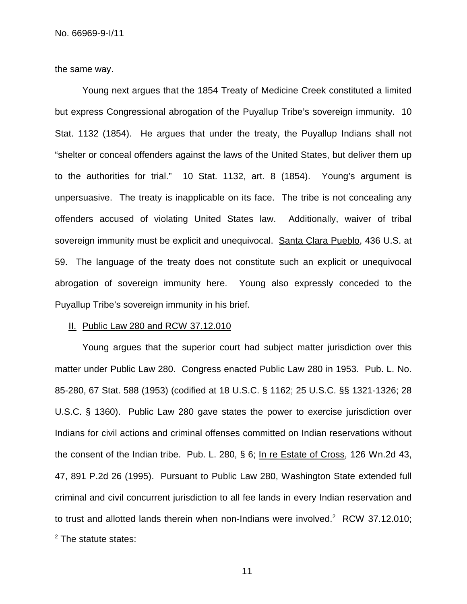the same way.

Young next argues that the 1854 Treaty of Medicine Creek constituted a limited but express Congressional abrogation of the Puyallup Tribe's sovereign immunity. 10 Stat. 1132 (1854). He argues that under the treaty, the Puyallup Indians shall not "shelter or conceal offenders against the laws of the United States, but deliver them up to the authorities for trial." 10 Stat. 1132, art. 8 (1854). Young's argument is unpersuasive. The treaty is inapplicable on its face. The tribe is not concealing any offenders accused of violating United States law. Additionally, waiver of tribal sovereign immunity must be explicit and unequivocal. Santa Clara Pueblo, 436 U.S. at 59. The language of the treaty does not constitute such an explicit or unequivocal abrogation of sovereign immunity here. Young also expressly conceded to the Puyallup Tribe's sovereign immunity in his brief.

#### II. Public Law 280 and RCW 37.12.010

Young argues that the superior court had subject matter jurisdiction over this matter under Public Law 280. Congress enacted Public Law 280 in 1953. Pub. L. No. 85-280, 67 Stat. 588 (1953) (codified at 18 U.S.C. § 1162; 25 U.S.C. §§ 1321-1326; 28 U.S.C. § 1360). Public Law 280 gave states the power to exercise jurisdiction over Indians for civil actions and criminal offenses committed on Indian reservations without the consent of the Indian tribe. Pub. L. 280, § 6; In re Estate of Cross, 126 Wn.2d 43, 47, 891 P.2d 26 (1995). Pursuant to Public Law 280, Washington State extended full criminal and civil concurrent jurisdiction to all fee lands in every Indian reservation and to trust and allotted lands therein when non-Indians were involved.<sup>2</sup> RCW 37.12.010;

<sup>2</sup> The statute states: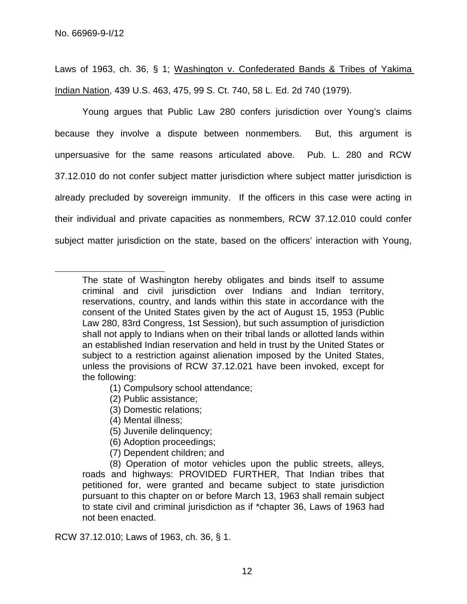Laws of 1963, ch. 36, § 1; Washington v. Confederated Bands & Tribes of Yakima Indian Nation, 439 U.S. 463, 475, 99 S. Ct. 740, 58 L. Ed. 2d 740 (1979).

Young argues that Public Law 280 confers jurisdiction over Young's claims because they involve a dispute between nonmembers. But, this argument is unpersuasive for the same reasons articulated above. Pub. L. 280 and RCW 37.12.010 do not confer subject matter jurisdiction where subject matter jurisdiction is already precluded by sovereign immunity. If the officers in this case were acting in their individual and private capacities as nonmembers, RCW 37.12.010 could confer subject matter jurisdiction on the state, based on the officers' interaction with Young,

- (1) Compulsory school attendance;
- (2) Public assistance;
- (3) Domestic relations;
- (4) Mental illness;
- (5) Juvenile delinquency;
- (6) Adoption proceedings;
- (7) Dependent children; and

(8) Operation of motor vehicles upon the public streets, alleys, roads and highways: PROVIDED FURTHER, That Indian tribes that petitioned for, were granted and became subject to state jurisdiction pursuant to this chapter on or before March 13, 1963 shall remain subject to state civil and criminal jurisdiction as if \*chapter 36, Laws of 1963 had not been enacted.

RCW 37.12.010; Laws of 1963, ch. 36, § 1.

The state of Washington hereby obligates and binds itself to assume criminal and civil jurisdiction over Indians and Indian territory, reservations, country, and lands within this state in accordance with the consent of the United States given by the act of August 15, 1953 (Public Law 280, 83rd Congress, 1st Session), but such assumption of jurisdiction shall not apply to Indians when on their tribal lands or allotted lands within an established Indian reservation and held in trust by the United States or subject to a restriction against alienation imposed by the United States, unless the provisions of RCW 37.12.021 have been invoked, except for the following: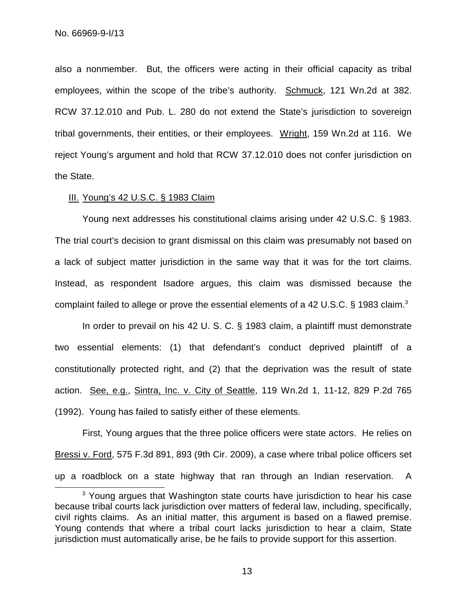also a nonmember. But, the officers were acting in their official capacity as tribal employees, within the scope of the tribe's authority. Schmuck, 121 Wn.2d at 382. RCW 37.12.010 and Pub. L. 280 do not extend the State's jurisdiction to sovereign tribal governments, their entities, or their employees. Wright, 159 Wn.2d at 116. We reject Young's argument and hold that RCW 37.12.010 does not confer jurisdiction on the State.

## III. Young's 42 U.S.C. § 1983 Claim

Young next addresses his constitutional claims arising under 42 U.S.C. § 1983. The trial court's decision to grant dismissal on this claim was presumably not based on a lack of subject matter jurisdiction in the same way that it was for the tort claims. Instead, as respondent Isadore argues, this claim was dismissed because the complaint failed to allege or prove the essential elements of a 42 U.S.C. § 1983 claim.<sup>3</sup>

In order to prevail on his 42 U. S. C. § 1983 claim, a plaintiff must demonstrate two essential elements: (1) that defendant's conduct deprived plaintiff of a constitutionally protected right, and (2) that the deprivation was the result of state action. See, e.g., Sintra, Inc. v. City of Seattle, 119 Wn.2d 1, 11-12, 829 P.2d 765 (1992). Young has failed to satisfy either of these elements.

First, Young argues that the three police officers were state actors. He relies on Bressi v. Ford, 575 F.3d 891, 893 (9th Cir. 2009), a case where tribal police officers set up a roadblock on a state highway that ran through an Indian reservation. A

<sup>&</sup>lt;sup>3</sup> Young argues that Washington state courts have jurisdiction to hear his case because tribal courts lack jurisdiction over matters of federal law, including, specifically, civil rights claims. As an initial matter, this argument is based on a flawed premise. Young contends that where a tribal court lacks jurisdiction to hear a claim, State jurisdiction must automatically arise, be he fails to provide support for this assertion.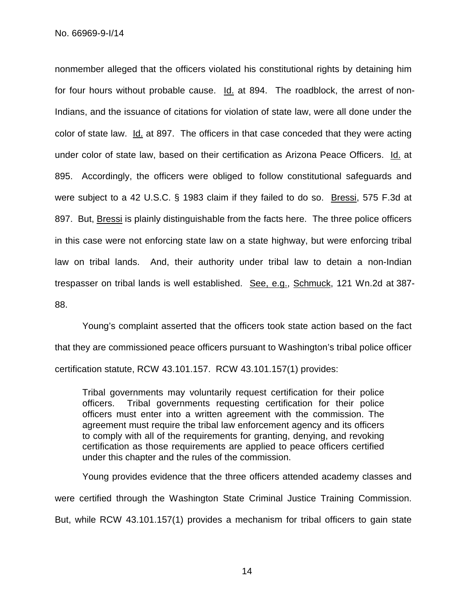No. 66969-9-I/14

nonmember alleged that the officers violated his constitutional rights by detaining him for four hours without probable cause. Id. at 894. The roadblock, the arrest of non-Indians, and the issuance of citations for violation of state law, were all done under the color of state law. Id. at 897. The officers in that case conceded that they were acting under color of state law, based on their certification as Arizona Peace Officers. Id. at 895. Accordingly, the officers were obliged to follow constitutional safeguards and were subject to a 42 U.S.C. § 1983 claim if they failed to do so. Bressi, 575 F.3d at 897. But, Bressi is plainly distinguishable from the facts here. The three police officers in this case were not enforcing state law on a state highway, but were enforcing tribal law on tribal lands. And, their authority under tribal law to detain a non-Indian trespasser on tribal lands is well established. See, e.g., Schmuck, 121 Wn.2d at 387- 88.

Young's complaint asserted that the officers took state action based on the fact that they are commissioned peace officers pursuant to Washington's tribal police officer certification statute, RCW 43.101.157. RCW 43.101.157(1) provides:

Tribal governments may voluntarily request certification for their police officers. Tribal governments requesting certification for their police officers must enter into a written agreement with the commission. The agreement must require the tribal law enforcement agency and its officers to comply with all of the requirements for granting, denying, and revoking certification as those requirements are applied to peace officers certified under this chapter and the rules of the commission.

Young provides evidence that the three officers attended academy classes and were certified through the Washington State Criminal Justice Training Commission. But, while RCW 43.101.157(1) provides a mechanism for tribal officers to gain state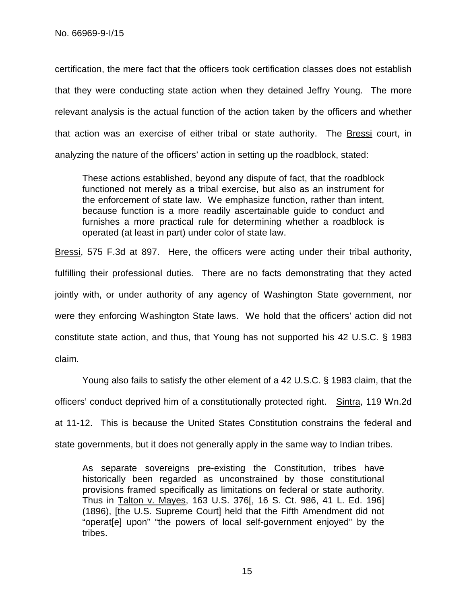certification, the mere fact that the officers took certification classes does not establish that they were conducting state action when they detained Jeffry Young. The more relevant analysis is the actual function of the action taken by the officers and whether that action was an exercise of either tribal or state authority. The **Bressi** court, in analyzing the nature of the officers' action in setting up the roadblock, stated:

These actions established, beyond any dispute of fact, that the roadblock functioned not merely as a tribal exercise, but also as an instrument for the enforcement of state law. We emphasize function, rather than intent, because function is a more readily ascertainable guide to conduct and furnishes a more practical rule for determining whether a roadblock is operated (at least in part) under color of state law.

Bressi, 575 F.3d at 897. Here, the officers were acting under their tribal authority, fulfilling their professional duties. There are no facts demonstrating that they acted jointly with, or under authority of any agency of Washington State government, nor were they enforcing Washington State laws. We hold that the officers' action did not constitute state action, and thus, that Young has not supported his 42 U.S.C. § 1983 claim.

Young also fails to satisfy the other element of a 42 U.S.C. § 1983 claim, that the officers' conduct deprived him of a constitutionally protected right. Sintra, 119 Wn.2d at 11-12. This is because the United States Constitution constrains the federal and state governments, but it does not generally apply in the same way to Indian tribes.

As separate sovereigns pre-existing the Constitution, tribes have historically been regarded as unconstrained by those constitutional provisions framed specifically as limitations on federal or state authority. Thus in Talton v. Mayes, 163 U.S. 376[, 16 S. Ct. 986, 41 L. Ed. 196] (1896), [the U.S. Supreme Court] held that the Fifth Amendment did not "operat[e] upon" "the powers of local self-government enjoyed" by the tribes.